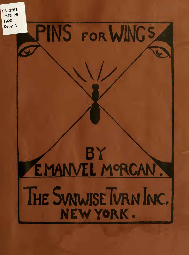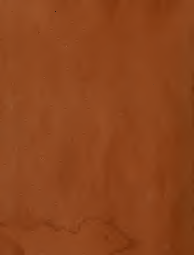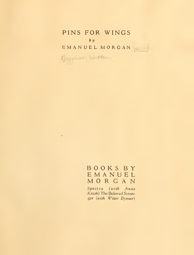# PINS FOR WINGS  $b<sub>y</sub>$ EMANUEL MORGAN

Bennes Witten.

 $\sim$ 

# **BOOKS BY** EMANUEL MORGAN

Spectra (with Anne Knish) The Beloved Stranger (with Witter Bynner)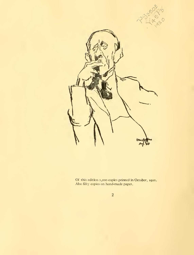



Of this edition 2,000 copies printed in October, 1920. Also fifty copies on hand-made paper.

 $\overline{a}$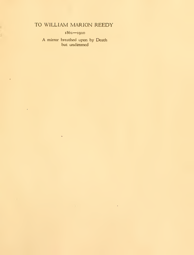# TO WILLIAM MARION REEDY

<sup>1862</sup>—<sup>1920</sup>

A mirror breathed upon by Death but undimmed

 $\omega$ 

and the state of

k.

 $\sim 10^{-11}$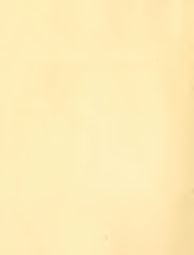$\mathcal{L}^{\mathcal{L}}(\mathcal{A})$  and  $\mathcal{L}^{\mathcal{L}}(\mathcal{A})$  and  $\mathcal{L}^{\mathcal{L}}(\mathcal{A})$  and  $\mathcal{L}^{\mathcal{L}}(\mathcal{A})$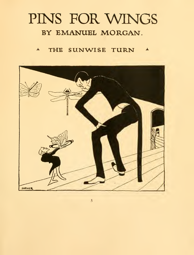# PINS FOR WINGS BY EMANUEL MORGAN.

# $\texttt{A}$  THE SUNWISE TURN  $\texttt{A}$



 $\overline{5}$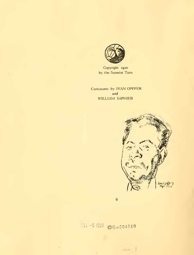

Copyright 1920 by the Sunwise Turn

Caricatures by IVAN OPFFER and WILLIAM SAPHIER



 $\overline{6}$ 

1.97 -5 1920 OCLASO4510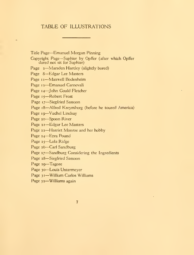# TABLE OF ILLUSTRATIONS

Title Page—Emanuel Morgan Pinning Copyright Page—Saphier by Opffer (after which Opffer dared not sit for Saphier) Page 2—Marsden Hartley (slightly bored) Page <sup>8</sup>—Edgar Lee Masters Page 11-Maxwell Bodenheim Page 12-Emanuel Carnevali Page <sup>14</sup>—John Gould Fletcher Page 15-Robert Frost Page 17-Siegfried Sassoon Page <sup>18</sup>—Alfred Kreymborg (before he toured America) Page 19-Vachel Lindsay Page <sup>20</sup>—Spoon River Page 21-Edgar Lee Masters Page <sup>22</sup>—Harriet Monroe and her hobby Page <sup>24</sup>—Ezra Pound Page <sup>25</sup>—Lola Ridge Page <sup>26</sup>—Carl Sandburg Page <sup>27</sup>—Sandburg Considering the Ingredients Page 28—Siegfried Sassoon Page <sup>29</sup>—Tagore Page <sup>30</sup>—Louis Untermeyer Page 31-William Carlos Williams Page <sup>32</sup>—Williams again

 $\overline{7}$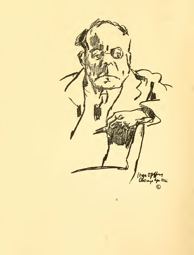

 $\bar{8}$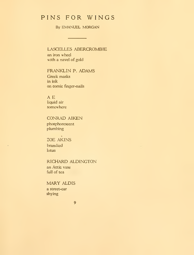By EMANUEL MORGAN

LASCELLES ABERCROMBIE an iron wheel with a navel of gold

FRANKLIN P. ADAMS Greek masks in ink on comic finger-nails

A E liquid air somewhere

CONRAD AIKEN phosphorescent plumbing

ZOE AKINS brandied lotus

÷.

RICHARD ALDINGTON an Attic vase full of tea

MARY ALDIS a street-car shying

 $\overline{9}$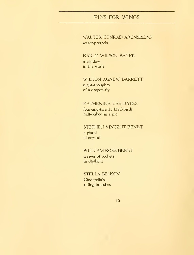### WALTER CONRAD ARENSBERG water-pretzels

KARLE WILSON BAKER a window in the wash

WILTON AGNEW BARRETT night-thoughts of a dragon-fly

KATHERINE LEE BATES four-and-twenty blackbirds half-baked in a pie

STEPHEN VINCENT BENET a pistol of crystal

WILLIAM ROSE BENET a river of rockets in daylight

STELLA BENSON Cinderella's riding-breeches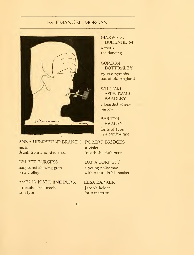

ANNA HEMPSTEAD BRANCH ROBERT BRIDGES nectar a violet a violet drunk from a sainted shoe 'neath the Kohinoor

GELETT BURGESS sculptured chewing-gum on a trolley

AMELIA JOSEPHINE BURR ELSA BARKER a tortoise-shell comb Jacob's ladder<br>as a lyre for a mattress

#### **MAXWELL** BODENHEIM

a tooth toe-dancing

### **GORDON BOTTOMLEY**

by two nymphs out of old England

#### WILLIAM ASPENWALL **BRADLEY** a bearded wheel barrow

BERTON BRALEY fonts of type in a tambourine

#### DANA BURNETT

a young policeman with a flute in his pocket

for a mattress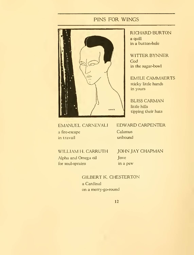

a fire-escape Calamus in travail unbound

RICHARD BURTON a quill in a button-hole

WITTER BYNNER God<br>in the sugar-bowl

EMILE CAMMAERTS sticky little hands in yours

BLISS CARMAN little hills tipping their hats

EMANUEL CARNEVALI EDWARD CARPENTER

Alpha and Omega oil Jove for soul-sprains in a pew

WILLIAM H. CARRUTH JOHN JAY CHAPMAN

GILBERT K. CHESTERTON a Cardinal on a merry-go-round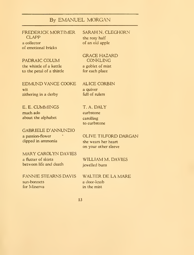#### FREDERICK MORTIMER CLAPP

a collector of emotional bricks

PADRAIC COLUM the whistle of a kettle to the petal of a thistle

EDMUND VANCE COOKE ALICE CORBIN wit zithering in a derby

#### SARAH N. CLEGHORN the rosy half of an old apple

GRACE HAZARD CONKLING a goblet of mist for each place

a quiver full of rulers

#### E. E. CUMMINGS

much ado about the alphabet

### T. A. DALY curbstone carolling to curbstone

#### GABRIELE D'ANNUNZIO

a passion-flower dipped in ammonia

#### OLIVE TILFORD DARGAN she wears her heart on your other sleeve

#### MARY CAROLYN DAVIES

a flutter of skirts between life and death

#### WILLIAM M. DAVIES jewelled buns

#### FANNIE STEARNS DAVIS

sun-bonnets for Minerva WALTER DE LA MARE a door-knob in the mist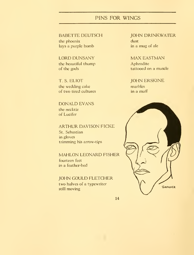### BABETTE DEUTSCH

the phoenix lays <sup>a</sup> purple bomb

LORD DUNSANY the beautiful thump of the gods

T. S. ELIOT the wedding cake of two tired cultures

DONALD EVANS the necktie of Lucifer

# ARTHUR DAVISON FICKE

St. Sebastian in gloves trimming his arrow-tips

### MAHLON LEONARD FISHER

fourteen feet in a feather-bed

JOHN GOULD FLETCHER two halves of a typewriter still moving

#### JOHN DRINKWATER dust in <sup>a</sup> mug of ale

MAX EASTMAN Aphrodite tattooed on a muscle

JOHN ERSKINE marbles in a muff

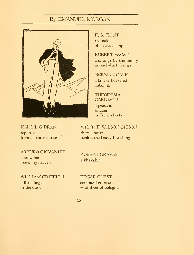

KAHLIL GIBRAN repartee from all three crosses \*

#### ARTURO GIOVANITTI

a crow-bar

#### WILLIAM GRIFFITH

a little finger in the dusk

### F. S. FLINT the halo of a street-lamp

ROBERT FROST paintings by the family in birch-bark frames

NORMAN GALE a knickerbockered bobolink

#### **THEODOSIA GARRISON**

a peasant singing in French heels

WILFRID WILSON GIBSON there's heart behind the heavy breathing

ROBERT GRAVES<br>a crow-bar<br>loosening heaven a khaki bib a khaki bib

#### EDGAR GUEST communion-bread with slices of bologna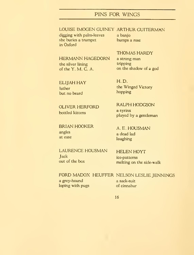### LOUISE IMOGEN GUINEY ARTHUR GUITERMAN

digging with palm-leaves a banjo she buries a trumpet bumps a rose in Oxford

### HERMANN HAGEDORN a strong man the silver lining tripping oftheY. M. C.A. on the shadow of a god

ELIJAH HAY lather but no beard

OLIVER HERFORD OLIVER HERFORD RALPH HODGSON<br>bottled kittens a syrinx

BRIAN HOOKER BRIAN HOOKER A. E. HOUSMAN at ease

### LAURENCE HOUSMAN Jack out of the box

#### THOMAS HARDY

H. D. the Winged Victory hopping

a syrinx played by a gentleman

a dead lad laughing

HELEN HOYT ice-patterns melting on the side-walk

FORD MADOX HEUFFER NELSON LESLIE JENNINGS a grey-hound a sack-suit loping with pugs of cinnabar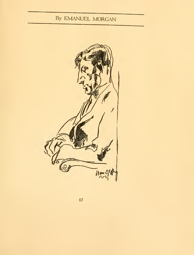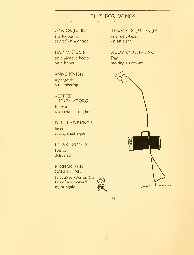ORRICK JOHNS the Rubaiyat carved on a carrot

HARRY KEMP seven-league boots on a linnet

ANNE KNISH a gargoyle remembering

ALFRED **KREYMBORG** Pierrot with the hiccoughs

D. H. LAWRENCE lovers eating thistle-pie

LOUIS LEDOUX **Hellas** delivered

RICHARD LE GALLIENNE talcum-powder on the tail of a wayward nightingale



THOMAS S. JONES, JR. one holly-berry on an altar

RUDYARD KIPLING

Pan stoking an empire

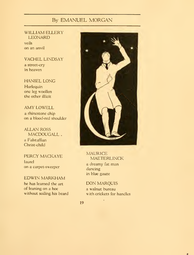#### WILLIAM ELLERY LEONARD

veils on an anvil

### VACHEL LINDSAY

a street-cry in heaven

### HANIEL LONG Harlequin

one leg woollen the other illicit

#### AMY LOWELL a rhinestone chip on a blood-red shoulder

ALLAN ROSS MACDOUGALL. a Falstaffian Christ-child

### PERCY MACKAYE laurel on a carpet-sweeper

### EDWIN MARKHAM

he has learned the art of leaning on a hoe without soiling his beard



### **MAURICE MAETERLINCK** <sup>a</sup> dreamy fat man

dancing in blue gauze

### DON MARQUIS

a walnut bureau with crickets for handles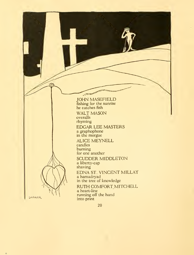

 $\circ$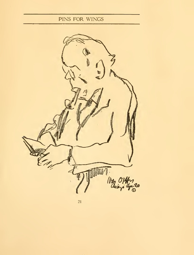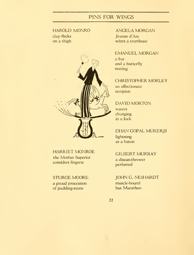HAROLD MONRO clay-flecks on a thigh



HARRIET MONROE the Mother Superior considers lingerie

STURGE MOORE a proud procession of pudding-stone

ANGELA MORGAN Jeanne d'Arc seizes a trombone

### EMANUEL MORGAN

a bat and a butterfly mating

### CHRISTOPHER MORLEY

an affectionate scorpion

# DAVID MORTON

waters changing in a lock

#### DHAN GOPAL MUKERJI lightning as a baton

### GILBERT MURRAY

a discus-thrower perfumed

### JOHN G. NEIHARDT muscle-bound but Marathon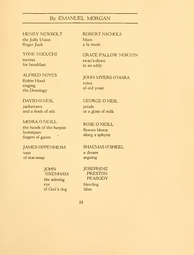HENRY NEWBOLT the Jolly Union Roger Jack

#### YONE NOGUCHI incense for breakfast

#### ALFRED NOYES

Robin Hood singing the Doxology

#### DAVID O NEIL

iackstraws and a hook of silk

#### MOIRAONEILL

the hands of the harpist homespun fingers of gauze

#### JAMES OPPENHEIM

vats of star-soup

### JOHN **OXENHAM** the adoring eye of God's dog

#### ROBERT NICHOLS **Mars** a la mode

GRACE FALLOW NORTON swan's-down in an eddy

JOHN MYERS O'HARA robes of old yeast

#### GEORGE O NEIL petals in a glass of milk

ROSE O NEILL flowers blown along a sphynx

# SHAEMAS O'SHEEL

a dream arguing

#### JOSEPHINE PRESTON **PEABODY** bleeding lilies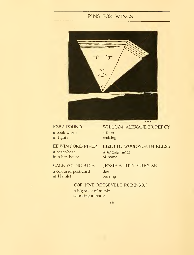

EZRA POUND a book-worm in tights

# EDWIN FORD PIPER

a heart-beat in a hen-house

### CALE YOUNG RICE

a coloured post-card as Hamlet

#### WILLIAM ALEXANDER PERCY a faun reciting

LIZETTE WOODWORTH REESE a singing hinge of home

### JESSIE B. RITTENHOUSE dew purring

### CORINNE ROOSEVELT ROBINSON a big stick of maple caressing a motor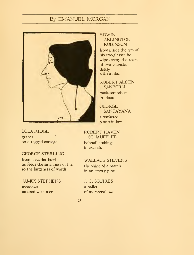

**LOLA RIDGE** grapes on a ragged corsage

### **GEORGE STERLING**

from a scarlet bowl he feeds the smallness of life to the largeness of words

**JAMES STEPHENS** meadows amazed with men

**EDWIN ARLINGTON ROBINSON** from inside the rim of his eye-glasses he wipes away the tears of two counties deftly<br>with a lilac

ROBERT ALDEN **SANBORN** back-scratchers in bloom

**GEORGE SANTAYANA** a withered rose-window

**ROBERT HAVEN SCHAUFFLER** hobnail etchings in excelsis

#### **WALLACE STEVENS**

the shine of a match in an empty pipe

I. C. SQUIRES a ballet of marshmallows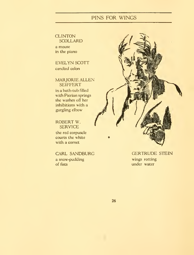**CLINTON SCOLLARD** a mouse in the piano

EVELYN SCOTT candied colon

MARJORIE ALLEN **SEIFFERT** in a bath-tub filled with Pierian springs she washes off her inhibitions with a gurgling elbow

ROBERT W. **SERVICE** 

the red corpuscle courts the white with a cornet

CARL SANDBURG a snow-pudding of fists

GERTRUDE STEIN wings rotting under water

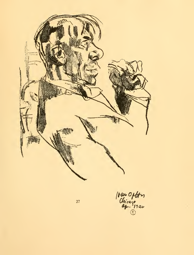

 $\overline{27}$ 

Vous Opton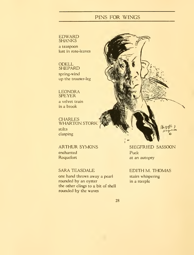#### EDWARD **SHANKS**

a teaspoon lost in rose-leaves

#### ODELL **SHEPARD**

spring-wind up the trouser-leg

#### LEONORA SPEYER

a velvet train in a brook

#### **CHARLES** WHARTON STORK stilts

clasping

### ARTHUR SYMONS enchanted Roquefort

### SARA TEASDALE

one hand throws away a pearl rounded by an oyster the other clings to a bit of shell rounded by the waves

SIEGFRIED SASSOON Puck at an autopsy

### EDITH M. THOMAS stairs whispering in a steeple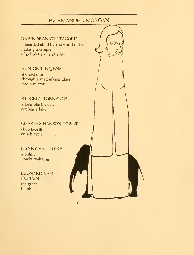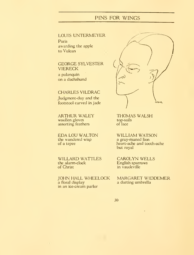#### LOUIS UNTERMEYER

Paris awarding the apple to Vulcan

GEORGE SYLVESTER VIERECK

a palanquin on a dachshund

CHARLES VILDRAC Judgment-day and the footstool carved in jade

ARTHUR WALEY woollen gloves<br>assorting feathers

EDA LOU WALTON the wandered wisp of a tepee

WILLARD WATTLES of Christ CAROLYN WELLS the alarm-clock

JOHN HALL WHEELOCK a floral display<br>in an ice-cream parlor



**THOMAS WALSH** top-sails of lace

WILLIAM WATSON a gray-maned lion heart-ache and tooth-ache but royal

English sparrows in vaudeville

MARGARET WIDDEMER a darting umbrella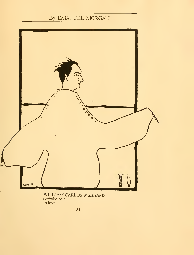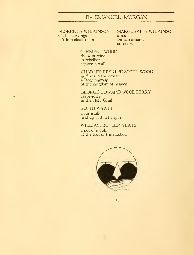Gothic carvings arms<br>
left in a cloak-room thrown around left in a cloak-room

 $\sim$ 

FLORENCE WILKINSON MARGUERITE WILKINSON<br>Gothic carvings outdoors

> CLEMENT WOOD the west wind in rebellion against a wall

CHARLES ERSKINE SCOTT WOOD he finds in the desert a Rogers group of the kingdom of heaven

GEORGE EDWARD WOODBERRY grape-juice in the Holy Grail

EDITH WYATT a cornstalk held up with a hairpin

WILLIAM BUTLER YEATS a pot of mould at the foot of the rainbow